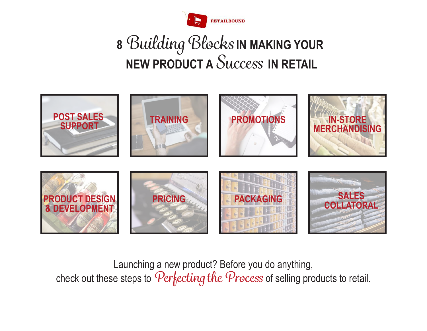

## **<sup>8</sup>***Building Blocks* **IN MAKING YOUR NEW PRODUCT A** *Success* **IN RETAIL**



Launching a new product? Before you do anything, check out these steps to *Perfecting the Process* of selling products to retail.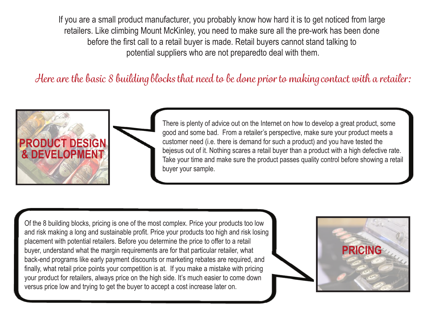If you are a small product manufacturer, you probably know how hard it is to get noticed from large retailers. Like climbing Mount McKinley, you need to make sure all the pre-work has been done before the first call to a retail buyer is made. Retail buyers cannot stand talking to potential suppliers who are not preparedto deal with them.

*Here are the basic 8 building blocks that need to be done prior to making contact with a retailer:*



There is plenty of advice out on the Internet on how to develop a great product, some good and some bad. From a retailer's perspective, make sure your product meets a customer need (i.e. there is demand for such a product) and you have tested the bejesus out of it. Nothing scares a retail buyer than a product with a high defective rate. Take your time and make sure the product passes quality control before showing a retail buyer your sample.

Of the 8 building blocks, pricing is one of the most complex. Price your products too low and risk making a long and sustainable profit. Price your products too high and risk losing placement with potential retailers. Before you determine the price to offer to a retail buyer, understand what the margin requirements are for that particular retailer, what back-end programs like early payment discounts or marketing rebates are required, and finally, what retail price points your competition is at. If you make a mistake with pricing your product for retailers, always price on the high side. It's much easier to come down versus price low and trying to get the buyer to accept a cost increase later on.

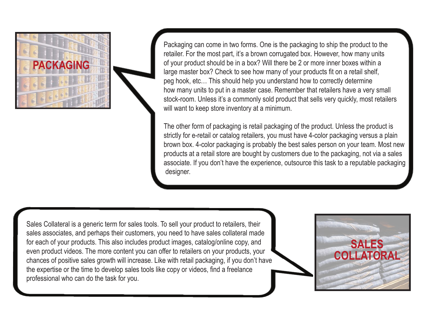

Packaging can come in two forms. One is the packaging to ship the product to the retailer. For the most part, it's a brown corrugated box. However, how many units of your product should be in a box? Will there be 2 or more inner boxes within a large master box? Check to see how many of your products fit on a retail shelf, peg hook, etc… This should help you understand how to correctly determine how many units to put in a master case. Remember that retailers have a very small stock-room. Unless it's a commonly sold product that sells very quickly, most retailers will want to keep store inventory at a minimum.

The other form of packaging is retail packaging of the product. Unless the product is strictly for e-retail or catalog retailers, you must have 4-color packaging versus a plain brown box. 4-color packaging is probably the best sales person on your team. Most new products at a retail store are bought by customers due to the packaging, not via a sales associate. If you don't have the experience, outsource this task to a reputable packaging designer.

Sales Collateral is a generic term for sales tools. To sell your product to retailers, their sales associates, and perhaps their customers, you need to have sales collateral made for each of your products. This also includes product images, catalog/online copy, and even product videos. The more content you can offer to retailers on your products, your chances of positive sales growth will increase. Like with retail packaging, if you don't have the expertise or the time to develop sales tools like copy or videos, find a freelance professional who can do the task for you.

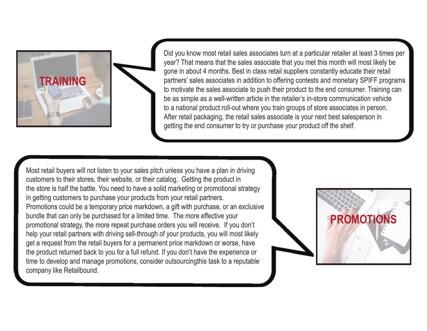

Did you know most retail sales associates turn at a particular retailer at least 3 times per year? That means that the sales associate that you met this month will most likely be gone in about 4 months. Best in class retail suppliers constantly educate their retail partners' sales associates in addition to offering contests and monetary SPIFF programs to motivate the sales associate to push their product to the end consumer. Training can be as simple as a well-written article in the retailer's in-store communication vehicle to a national product roll-out where you train groups of store associates in person. After retail packaging, the retail sales associate is your next best salesperson in getting the end consumer to try or purchase your product off the shelf.

Most retail buyers will not listen to your sales pitch unless you have a plan in driving customers to their stores, their website, or their catalog. Getting the product in the store is half the battle. You need to have a solid marketing or promotional strategy in getting customers to purchase your products from your retail partners. Promotions could be a temporary price markdown, a gift with purchase, or an exclusive bundle that can only be purchased for a limited time. The more effective your promotional strategy, the more repeat purchase orders you will receive. If you don't help your retail partners with driving sell-through of your products, you will most likely get a request from the retail buyers for a permanent price markdown or worse, have the product returned back to you for a full refund. If you don't have the experience or time to develop and manage promotions, consider outsourcingthis task to a reputable company like Retailbound.